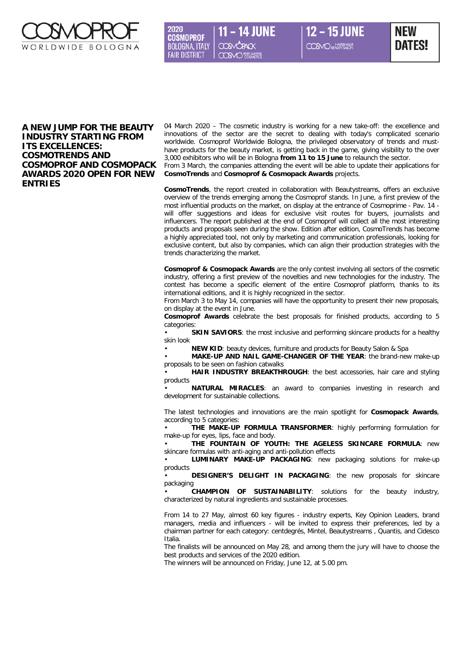

2020 **14 JUNF COSMOPROF BOLOGNA, ITALY FAIR DISTRICT COSMO** PERFUMERYS



## **A NEW JUMP FOR THE BEAUTY INDUSTRY STARTING FROM ITS EXCELLENCES: COSMOTRENDS AND COSMOPROF AND COSMOPACK AWARDS 2020 OPEN FOR NEW ENTRIES**

04 March 2020 – The cosmetic industry is working for a new take-off: the excellence and innovations of the sector are the secret to dealing with today's complicated scenario worldwide. Cosmoprof Worldwide Bologna, the privileged observatory of trends and musthave products for the beauty market, is getting back in the game, giving visibility to the over 3,000 exhibitors who will be in Bologna **from 11 to 15 June** to relaunch the sector.

From 3 March, the companies attending the event will be able to update their applications for **CosmoTrends** and **Cosmoprof & Cosmopack Awards** projects.

**CosmoTrends**, the report created in collaboration with Beautystreams, offers an exclusive overview of the trends emerging among the Cosmoprof stands. In June, a first preview of the most influential products on the market, on display at the entrance of Cosmoprime - Pav. 14 will offer suggestions and ideas for exclusive visit routes for buyers, journalists and influencers. The report published at the end of Cosmoprof will collect all the most interesting products and proposals seen during the show. Edition after edition, CosmoTrends has become a highly appreciated tool, not only by marketing and communication professionals, looking for exclusive content, but also by companies, which can align their production strategies with the trends characterizing the market.

**Cosmoprof & Cosmopack Awards** are the only contest involving all sectors of the cosmetic industry, offering a first preview of the novelties and new technologies for the industry. The contest has become a specific element of the entire Cosmoprof platform, thanks to its international editions, and it is highly recognized in the sector.

From March 3 to May 14, companies will have the opportunity to present their new proposals, on display at the event in June.

**Cosmoprof Awards** celebrate the best proposals for finished products, according to 5 categories:

**SKIN SAVIORS:** the most inclusive and performing skincare products for a healthy skin look

• **NEW KID**: beauty devices, furniture and products for Beauty Salon & Spa

• **MAKE-UP AND NAIL GAME-CHANGER OF THE YEAR**: the brand-new make-up proposals to be seen on fashion catwalks

• **HAIR INDUSTRY BREAKTHROUGH**: the best accessories, hair care and styling products

• **NATURAL MIRACLES**: an award to companies investing in research and development for sustainable collections.

The latest technologies and innovations are the main spotlight for **Cosmopack Awards**, according to 5 categories:

• **THE MAKE-UP FORMULA TRANSFORMER**: highly performing formulation for make-up for eyes, lips, face and body.

• **THE FOUNTAIN OF YOUTH: THE AGELESS SKINCARE FORMULA**: new skincare formulas with anti-aging and anti-pollution effects

• **LUMINARY MAKE-UP PACKAGING**: new packaging solutions for make-up products

• **DESIGNER'S DELIGHT IN PACKAGING**: the new proposals for skincare packaging

• **CHAMPION OF SUSTAINABILITY**: solutions for the beauty industry, characterized by natural ingredients and sustainable processes.

From 14 to 27 May, almost 60 key figures - industry experts, Key Opinion Leaders, brand managers, media and influencers - will be invited to express their preferences, led by a chairman partner for each category: centdegrés, Mintel, Beautystreams , Quantis, and Cidesco Italia.

The finalists will be announced on May 28, and among them the jury will have to choose the best products and services of the 2020 edition.

The winners will be announced on Friday, June 12, at 5.00 pm.